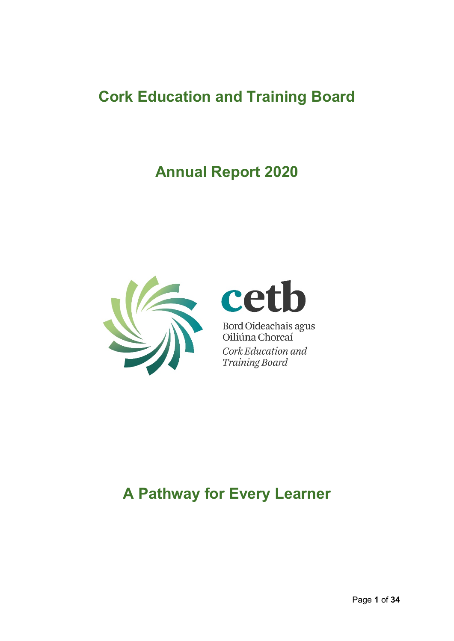# **Cork Education and Training Board**

# **Annual Report 2020**



# cet b

Bord Oideachais agus<br>Oiliúna Chorcaí Cork Education and Training Board

# **A Pathway for Every Learner**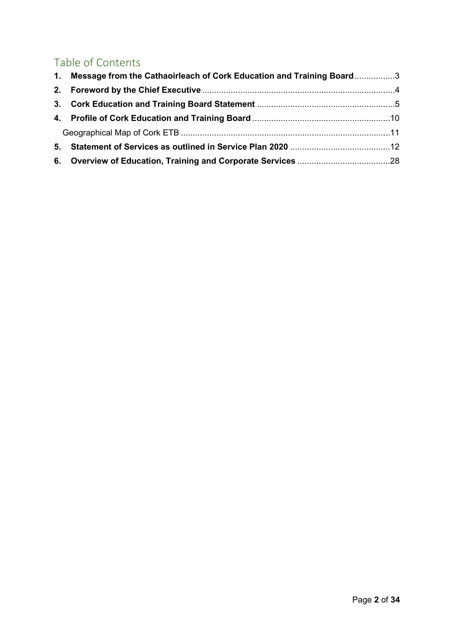# Table of Contents

| 1. Message from the Cathaoirleach of Cork Education and Training Board3 |  |
|-------------------------------------------------------------------------|--|
|                                                                         |  |
|                                                                         |  |
|                                                                         |  |
|                                                                         |  |
|                                                                         |  |
|                                                                         |  |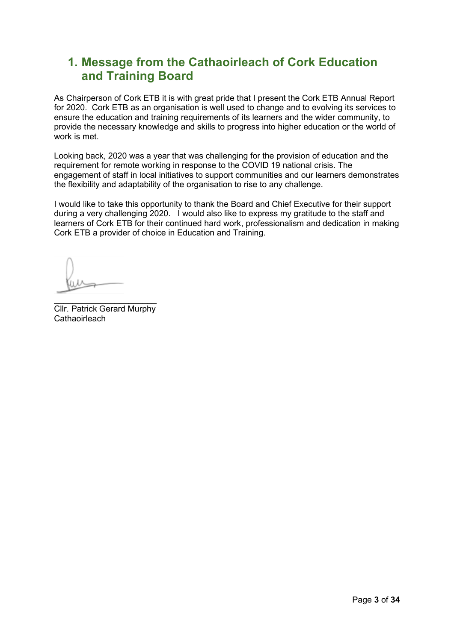# <span id="page-2-0"></span>**1. Message from the Cathaoirleach of Cork Education and Training Board**

As Chairperson of Cork ETB it is with great pride that I present the Cork ETB Annual Report for 2020. Cork ETB as an organisation is well used to change and to evolving its services to ensure the education and training requirements of its learners and the wider community, to provide the necessary knowledge and skills to progress into higher education or the world of work is met.

Looking back, 2020 was a year that was challenging for the provision of education and the requirement for remote working in response to the COVID 19 national crisis. The engagement of staff in local initiatives to support communities and our learners demonstrates the flexibility and adaptability of the organisation to rise to any challenge.

I would like to take this opportunity to thank the Board and Chief Executive for their support during a very challenging 2020. I would also like to express my gratitude to the staff and learners of Cork ETB for their continued hard work, professionalism and dedication in making Cork ETB a provider of choice in Education and Training.

 $\frac{1}{2}$  , and the set of the set of the set of the set of the set of the set of the set of the set of the set of the set of the set of the set of the set of the set of the set of the set of the set of the set of the set Cllr. Patrick Gerard Murphy **Cathaoirleach**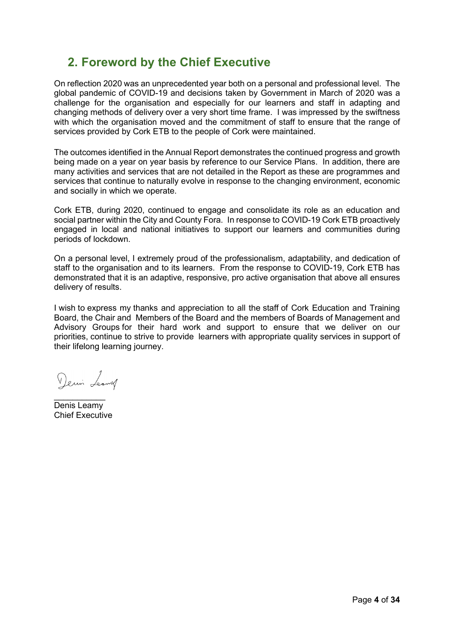# <span id="page-3-0"></span>**2. Foreword by the Chief Executive**

On reflection 2020 was an unprecedented year both on a personal and professional level. The global pandemic of COVID-19 and decisions taken by Government in March of 2020 was a challenge for the organisation and especially for our learners and staff in adapting and changing methods of delivery over a very short time frame. I was impressed by the swiftness with which the organisation moved and the commitment of staff to ensure that the range of services provided by Cork ETB to the people of Cork were maintained.

The outcomes identified in the Annual Report demonstrates the continued progress and growth being made on a year on year basis by reference to our Service Plans. In addition, there are many activities and services that are not detailed in the Report as these are programmes and services that continue to naturally evolve in response to the changing environment, economic and socially in which we operate.

Cork ETB, during 2020, continued to engage and consolidate its role as an education and social partner within the City and County Fora. In response to COVID-19 Cork ETB proactively engaged in local and national initiatives to support our learners and communities during periods of lockdown.

On a personal level, I extremely proud of the professionalism, adaptability, and dedication of staff to the organisation and to its learners. From the response to COVID-19, Cork ETB has demonstrated that it is an adaptive, responsive, pro active organisation that above all ensures delivery of results.

I wish to express my thanks and appreciation to all the staff of Cork Education and Training Board, the Chair and Members of the Board and the members of Boards of Management and Advisory Groups for their hard work and support to ensure that we deliver on our priorities, continue to strive to provide learners with appropriate quality services in support of their lifelong learning journey.

Demin Leaving

 $\overline{\phantom{a}}$  , where  $\overline{\phantom{a}}$ Denis Leamy Chief Executive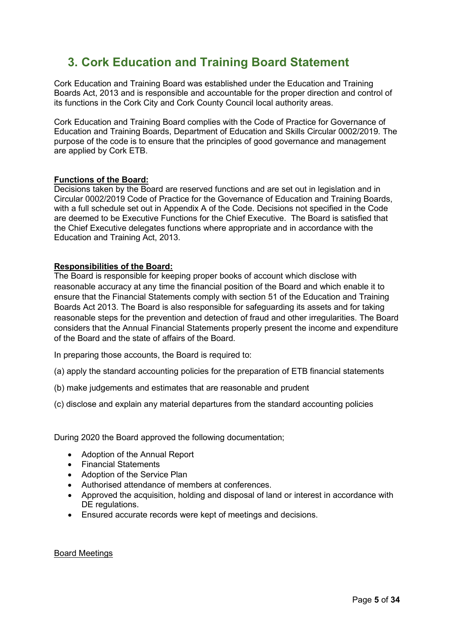# <span id="page-4-0"></span>**3. Cork Education and Training Board Statement**

Cork Education and Training Board was established under the Education and Training Boards Act, 2013 and is responsible and accountable for the proper direction and control of its functions in the Cork City and Cork County Council local authority areas.

Cork Education and Training Board complies with the Code of Practice for Governance of Education and Training Boards, Department of Education and Skills Circular 0002/2019. The purpose of the code is to ensure that the principles of good governance and management are applied by Cork ETB.

#### **Functions of the Board:**

Decisions taken by the Board are reserved functions and are set out in legislation and in Circular 0002/2019 Code of Practice for the Governance of Education and Training Boards, with a full schedule set out in Appendix A of the Code. Decisions not specified in the Code are deemed to be Executive Functions for the Chief Executive. The Board is satisfied that the Chief Executive delegates functions where appropriate and in accordance with the Education and Training Act, 2013.

#### **Responsibilities of the Board:**

The Board is responsible for keeping proper books of account which disclose with reasonable accuracy at any time the financial position of the Board and which enable it to ensure that the Financial Statements comply with section 51 of the Education and Training Boards Act 2013. The Board is also responsible for safeguarding its assets and for taking reasonable steps for the prevention and detection of fraud and other irregularities. The Board considers that the Annual Financial Statements properly present the income and expenditure of the Board and the state of affairs of the Board.

In preparing those accounts, the Board is required to:

- (a) apply the standard accounting policies for the preparation of ETB financial statements
- (b) make judgements and estimates that are reasonable and prudent
- (c) disclose and explain any material departures from the standard accounting policies

During 2020 the Board approved the following documentation;

- Adoption of the Annual Report
- Financial Statements
- Adoption of the Service Plan
- Authorised attendance of members at conferences.
- Approved the acquisition, holding and disposal of land or interest in accordance with DE regulations.
- Ensured accurate records were kept of meetings and decisions.

#### Board Meetings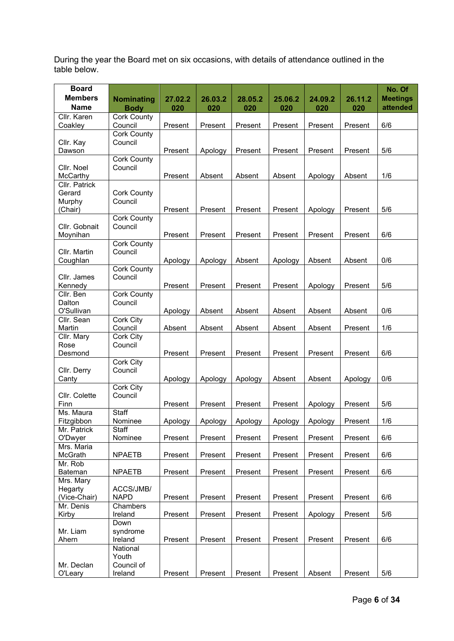During the year the Board met on six occasions, with details of attendance outlined in the table below.

| <b>Board</b>              |                               |         |         |         |         |         |         | No. Of          |
|---------------------------|-------------------------------|---------|---------|---------|---------|---------|---------|-----------------|
| <b>Members</b>            | <b>Nominating</b>             | 27.02.2 | 26.03.2 | 28.05.2 | 25.06.2 | 24.09.2 | 26.11.2 | <b>Meetings</b> |
| <b>Name</b>               | <b>Body</b>                   | 020     | 020     | 020     | 020     | 020     | 020     | attended        |
| Cllr. Karen               | <b>Cork County</b>            |         |         |         |         |         |         |                 |
| Coakley                   | Council                       | Present | Present | Present | Present | Present | Present | 6/6             |
|                           | <b>Cork County</b>            |         |         |         |         |         |         |                 |
| Cllr. Kay                 | Council                       |         |         |         |         |         |         |                 |
| Dawson                    |                               | Present | Apology | Present | Present | Present | Present | 5/6             |
| Cllr. Noel                | <b>Cork County</b><br>Council |         |         |         |         |         |         |                 |
| McCarthy                  |                               | Present | Absent  | Absent  | Absent  | Apology | Absent  | 1/6             |
| Cllr. Patrick             |                               |         |         |         |         |         |         |                 |
| Gerard                    | <b>Cork County</b>            |         |         |         |         |         |         |                 |
| Murphy                    | Council                       |         |         |         |         |         |         |                 |
| (Chair)                   |                               | Present | Present | Present | Present | Apology | Present | 5/6             |
|                           | <b>Cork County</b>            |         |         |         |         |         |         |                 |
| Cllr. Gobnait             | Council                       |         |         |         |         |         |         |                 |
| Moynihan                  |                               | Present | Present | Present | Present | Present | Present | 6/6             |
| Cllr. Martin              | <b>Cork County</b><br>Council |         |         |         |         |         |         |                 |
| Coughlan                  |                               | Apology | Apology | Absent  | Apology | Absent  | Absent  | 0/6             |
|                           | <b>Cork County</b>            |         |         |         |         |         |         |                 |
| Cllr. James               | Council                       |         |         |         |         |         |         |                 |
| Kennedy                   |                               | Present | Present | Present | Present | Apology | Present | 5/6             |
| Cllr. Ben                 | Cork County                   |         |         |         |         |         |         |                 |
| Dalton                    | Council                       |         |         |         |         |         |         |                 |
| O'Sullivan                |                               | Apology | Absent  | Absent  | Absent  | Absent  | Absent  | 0/6             |
| Cllr. Sean                | Cork City                     |         |         |         |         |         |         |                 |
| Martin                    | Council                       | Absent  | Absent  | Absent  | Absent  | Absent  | Present | 1/6             |
| Cllr. Mary<br>Rose        | Cork City<br>Council          |         |         |         |         |         |         |                 |
| Desmond                   |                               | Present | Present | Present | Present | Present | Present | 6/6             |
|                           | Cork City                     |         |         |         |         |         |         |                 |
| Cllr. Derry               | Council                       |         |         |         |         |         |         |                 |
| Canty                     |                               | Apology | Apology | Apology | Absent  | Absent  | Apology | 0/6             |
|                           | Cork City                     |         |         |         |         |         |         |                 |
| Cllr. Colette             | Council                       |         |         |         |         |         |         |                 |
| Finn                      |                               | Present | Present | Present | Present | Apology | Present | 5/6             |
| Ms. Maura                 | <b>Staff</b>                  |         |         |         |         |         |         |                 |
| Fitzgibbon<br>Mr. Patrick | Nominee<br>Staff              | Apology | Apology | Apology | Apology | Apology | Present | 1/6             |
| O'Dwyer                   | Nominee                       | Present | Present | Present | Present | Present | Present | 6/6             |
| Mrs. Maria                |                               |         |         |         |         |         |         |                 |
| McGrath                   | <b>NPAETB</b>                 | Present | Present | Present | Present | Present | Present | 6/6             |
| Mr. Rob                   |                               |         |         |         |         |         |         |                 |
| Bateman                   | <b>NPAETB</b>                 | Present | Present | Present | Present | Present | Present | 6/6             |
| Mrs. Mary                 |                               |         |         |         |         |         |         |                 |
| Hegarty                   | ACCS/JMB/                     |         |         |         |         |         |         |                 |
| (Vice-Chair)              | <b>NAPD</b>                   | Present | Present | Present | Present | Present | Present | 6/6             |
| Mr. Denis                 | Chambers                      |         |         |         |         |         |         |                 |
| Kirby                     | Ireland                       | Present | Present | Present | Present | Apology | Present | 5/6             |
| Mr. Liam                  | Down<br>syndrome              |         |         |         |         |         |         |                 |
| Ahern                     | Ireland                       | Present | Present | Present | Present | Present | Present | 6/6             |
|                           | National                      |         |         |         |         |         |         |                 |
|                           | Youth                         |         |         |         |         |         |         |                 |
| Mr. Declan                | Council of                    |         |         |         |         |         |         |                 |
| O'Leary                   | Ireland                       | Present | Present | Present | Present | Absent  | Present | 5/6             |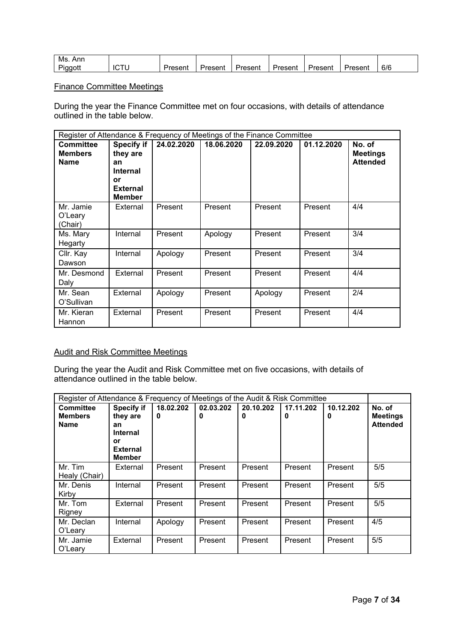| Ms<br>Anr   |         |         |         |         |         |         |     |
|-------------|---------|---------|---------|---------|---------|---------|-----|
| --<br>Pianc | ≀resent | Jrocont | Present | Jr∆c∆nt | Jrocont | -resent | 6/6 |

#### Finance Committee Meetings

During the year the Finance Committee met on four occasions, with details of attendance outlined in the table below.

| Register of Attendance & Frequency of Meetings of the Finance Committee |                                                                                                  |            |            |            |            |                                              |  |
|-------------------------------------------------------------------------|--------------------------------------------------------------------------------------------------|------------|------------|------------|------------|----------------------------------------------|--|
| <b>Committee</b><br><b>Members</b><br><b>Name</b>                       | <b>Specify if</b><br>they are<br>an<br><b>Internal</b><br>or<br><b>External</b><br><b>Member</b> | 24.02.2020 | 18.06.2020 | 22.09.2020 | 01.12.2020 | No. of<br><b>Meetings</b><br><b>Attended</b> |  |
| Mr. Jamie<br>O'Leary<br>(Chair)                                         | External                                                                                         | Present    | Present    | Present    | Present    | 4/4                                          |  |
| Ms. Mary<br>Hegarty                                                     | Internal                                                                                         | Present    | Apology    | Present    | Present    | 3/4                                          |  |
| Cllr. Kay<br>Dawson                                                     | Internal                                                                                         | Apology    | Present    | Present    | Present    | 3/4                                          |  |
| Mr. Desmond<br>Daly                                                     | External                                                                                         | Present    | Present    | Present    | Present    | 4/4                                          |  |
| Mr. Sean<br>O'Sullivan                                                  | External                                                                                         | Apology    | Present    | Apology    | Present    | 2/4                                          |  |
| Mr. Kieran<br>Hannon                                                    | External                                                                                         | Present    | Present    | Present    | Present    | 4/4                                          |  |

### Audit and Risk Committee Meetings

During the year the Audit and Risk Committee met on five occasions, with details of attendance outlined in the table below.

| Register of Attendance & Frequency of Meetings of the Audit & Risk Committee |                                                                                                  |                |                |                |                |                |                                              |
|------------------------------------------------------------------------------|--------------------------------------------------------------------------------------------------|----------------|----------------|----------------|----------------|----------------|----------------------------------------------|
| <b>Committee</b><br><b>Members</b><br><b>Name</b>                            | <b>Specify if</b><br>they are<br>an<br><b>Internal</b><br>or<br><b>External</b><br><b>Member</b> | 18.02.202<br>0 | 02.03.202<br>0 | 20.10.202<br>0 | 17.11.202<br>0 | 10.12.202<br>0 | No. of<br><b>Meetings</b><br><b>Attended</b> |
| Mr. Tim<br>Healy (Chair)                                                     | External                                                                                         | Present        | Present        | Present        | Present        | Present        | 5/5                                          |
| Mr. Denis<br>Kirby                                                           | Internal                                                                                         | Present        | Present        | Present        | Present        | Present        | 5/5                                          |
| Mr. Tom<br>Rigney                                                            | External                                                                                         | Present        | Present        | Present        | Present        | Present        | 5/5                                          |
| Mr. Declan<br>O'Leary                                                        | Internal                                                                                         | Apology        | Present        | Present        | Present        | Present        | 4/5                                          |
| Mr. Jamie<br>O'Leary                                                         | External                                                                                         | Present        | Present        | Present        | Present        | Present        | 5/5                                          |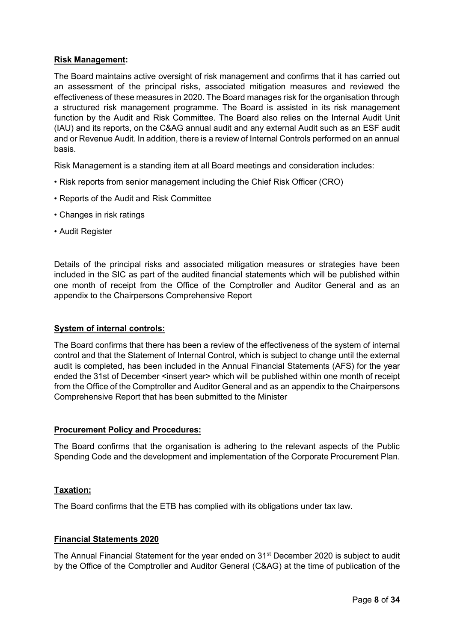#### **Risk Management:**

The Board maintains active oversight of risk management and confirms that it has carried out an assessment of the principal risks, associated mitigation measures and reviewed the effectiveness of these measures in 2020. The Board manages risk for the organisation through a structured risk management programme. The Board is assisted in its risk management function by the Audit and Risk Committee. The Board also relies on the Internal Audit Unit (IAU) and its reports, on the C&AG annual audit and any external Audit such as an ESF audit and or Revenue Audit. In addition, there is a review of Internal Controls performed on an annual basis.

Risk Management is a standing item at all Board meetings and consideration includes:

- Risk reports from senior management including the Chief Risk Officer (CRO)
- Reports of the Audit and Risk Committee
- Changes in risk ratings
- Audit Register

Details of the principal risks and associated mitigation measures or strategies have been included in the SIC as part of the audited financial statements which will be published within one month of receipt from the Office of the Comptroller and Auditor General and as an appendix to the Chairpersons Comprehensive Report

#### **System of internal controls:**

The Board confirms that there has been a review of the effectiveness of the system of internal control and that the Statement of Internal Control, which is subject to change until the external audit is completed, has been included in the Annual Financial Statements (AFS) for the year ended the 31st of December <insert year> which will be published within one month of receipt from the Office of the Comptroller and Auditor General and as an appendix to the Chairpersons Comprehensive Report that has been submitted to the Minister

#### **Procurement Policy and Procedures:**

The Board confirms that the organisation is adhering to the relevant aspects of the Public Spending Code and the development and implementation of the Corporate Procurement Plan.

#### **Taxation:**

The Board confirms that the ETB has complied with its obligations under tax law.

#### **Financial Statements 2020**

The Annual Financial Statement for the year ended on 31<sup>st</sup> December 2020 is subject to audit by the Office of the Comptroller and Auditor General (C&AG) at the time of publication of the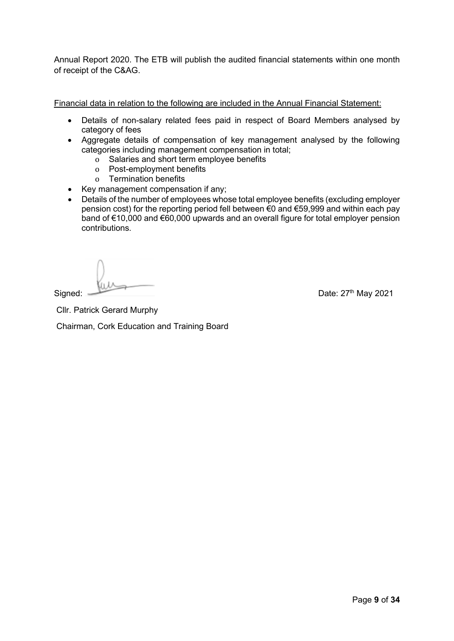Annual Report 2020. The ETB will publish the audited financial statements within one month of receipt of the C&AG.

Financial data in relation to the following are included in the Annual Financial Statement:

- Details of non-salary related fees paid in respect of Board Members analysed by category of fees
- Aggregate details of compensation of key management analysed by the following categories including management compensation in total;
	- o Salaries and short term employee benefits
	- o Post-employment benefits
	- o Termination benefits
- Key management compensation if any;
- Details of the number of employees whose total employee benefits (excluding employer pension cost) for the reporting period fell between €0 and €59,999 and within each pay band of €10,000 and €60,000 upwards and an overall figure for total employer pension contributions.

Signed: Date: 27<sup>th</sup> May 2021

Cllr. Patrick Gerard Murphy

Chairman, Cork Education and Training Board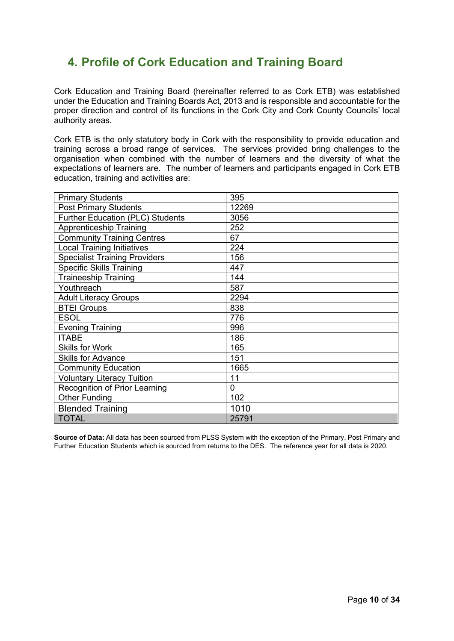# <span id="page-9-0"></span>**4. Profile of Cork Education and Training Board**

Cork Education and Training Board (hereinafter referred to as Cork ETB) was established under the Education and Training Boards Act, 2013 and is responsible and accountable for the proper direction and control of its functions in the Cork City and Cork County Councils' local authority areas.

Cork ETB is the only statutory body in Cork with the responsibility to provide education and training across a broad range of services. The services provided bring challenges to the organisation when combined with the number of learners and the diversity of what the expectations of learners are. The number of learners and participants engaged in Cork ETB education, training and activities are:

| <b>Primary Students</b>                 | 395            |
|-----------------------------------------|----------------|
| <b>Post Primary Students</b>            | 12269          |
| <b>Further Education (PLC) Students</b> | 3056           |
| <b>Apprenticeship Training</b>          | 252            |
| <b>Community Training Centres</b>       | 67             |
| <b>Local Training Initiatives</b>       | 224            |
| <b>Specialist Training Providers</b>    | 156            |
| <b>Specific Skills Training</b>         | 447            |
| <b>Traineeship Training</b>             | 144            |
| Youthreach                              | 587            |
| <b>Adult Literacy Groups</b>            | 2294           |
| <b>BTEI Groups</b>                      | 838            |
| <b>ESOL</b>                             | 776            |
| <b>Evening Training</b>                 | 996            |
| <b>ITABE</b>                            | 186            |
| <b>Skills for Work</b>                  | 165            |
| <b>Skills for Advance</b>               | 151            |
| <b>Community Education</b>              | 1665           |
| <b>Voluntary Literacy Tuition</b>       | 11             |
| Recognition of Prior Learning           | $\overline{0}$ |
| <b>Other Funding</b>                    | 102            |
| <b>Blended Training</b>                 | 1010           |
| <b>TOTAL</b>                            | 25791          |

**Source of Data:** All data has been sourced from PLSS System with the exception of the Primary, Post Primary and Further Education Students which is sourced from returns to the DES. The reference year for all data is 2020.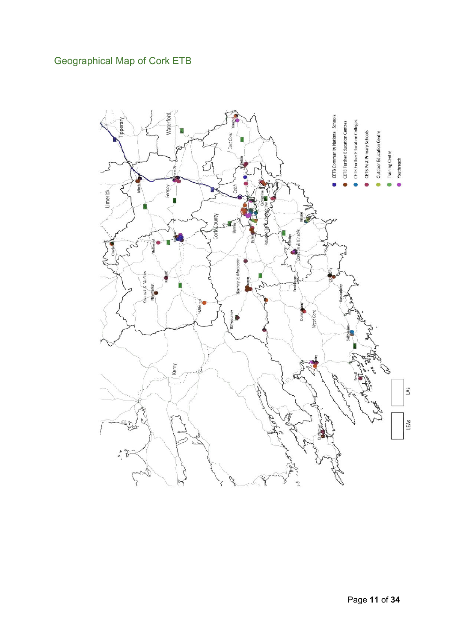# <span id="page-10-0"></span>Geographical Map of Cork ETB

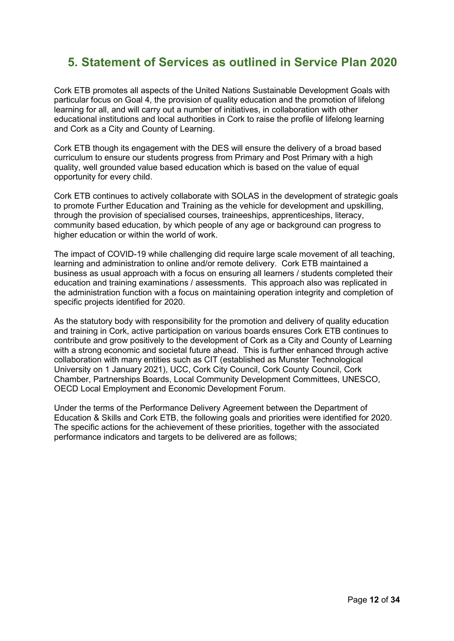# <span id="page-11-0"></span>**5. Statement of Services as outlined in Service Plan 2020**

Cork ETB promotes all aspects of the United Nations Sustainable Development Goals with particular focus on Goal 4, the provision of quality education and the promotion of lifelong learning for all, and will carry out a number of initiatives, in collaboration with other educational institutions and local authorities in Cork to raise the profile of lifelong learning and Cork as a City and County of Learning.

Cork ETB though its engagement with the DES will ensure the delivery of a broad based curriculum to ensure our students progress from Primary and Post Primary with a high quality, well grounded value based education which is based on the value of equal opportunity for every child.

Cork ETB continues to actively collaborate with SOLAS in the development of strategic goals to promote Further Education and Training as the vehicle for development and upskilling, through the provision of specialised courses, traineeships, apprenticeships, literacy, community based education, by which people of any age or background can progress to higher education or within the world of work.

The impact of COVID-19 while challenging did require large scale movement of all teaching, learning and administration to online and/or remote delivery. Cork ETB maintained a business as usual approach with a focus on ensuring all learners / students completed their education and training examinations / assessments. This approach also was replicated in the administration function with a focus on maintaining operation integrity and completion of specific projects identified for 2020.

As the statutory body with responsibility for the promotion and delivery of quality education and training in Cork, active participation on various boards ensures Cork ETB continues to contribute and grow positively to the development of Cork as a City and County of Learning with a strong economic and societal future ahead. This is further enhanced through active collaboration with many entities such as CIT (established as Munster Technological University on 1 January 2021), UCC, Cork City Council, Cork County Council, Cork Chamber, Partnerships Boards, Local Community Development Committees, UNESCO, OECD Local Employment and Economic Development Forum.

Under the terms of the Performance Delivery Agreement between the Department of Education & Skills and Cork ETB, the following goals and priorities were identified for 2020. The specific actions for the achievement of these priorities, together with the associated performance indicators and targets to be delivered are as follows;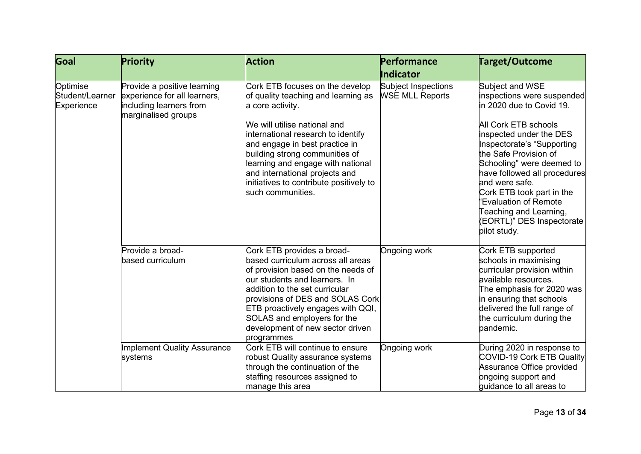| Goal                                      | Priority                                                                                                      | <b>Action</b>                                                                                                                                                                                                                                                                                                                                                               | <b>Performance</b>                            | <b>Target/Outcome</b>                                                                                                                                                                                                                                                                                                                                                                            |
|-------------------------------------------|---------------------------------------------------------------------------------------------------------------|-----------------------------------------------------------------------------------------------------------------------------------------------------------------------------------------------------------------------------------------------------------------------------------------------------------------------------------------------------------------------------|-----------------------------------------------|--------------------------------------------------------------------------------------------------------------------------------------------------------------------------------------------------------------------------------------------------------------------------------------------------------------------------------------------------------------------------------------------------|
|                                           |                                                                                                               |                                                                                                                                                                                                                                                                                                                                                                             | Indicator                                     |                                                                                                                                                                                                                                                                                                                                                                                                  |
| Optimise<br>Student/Learner<br>Experience | Provide a positive learning<br>experience for all learners,<br>including learners from<br>marginalised groups | Cork ETB focuses on the develop<br>of quality teaching and learning as<br>a core activity.<br>We will utilise national and<br>international research to identify<br>and engage in best practice in<br>building strong communities of<br>learning and engage with national<br>and international projects and<br>initiatives to contribute positively to<br>such communities. | Subject Inspections<br><b>WSE MLL Reports</b> | Subject and WSE<br>inspections were suspended<br>lin 2020 due to Covid 19.<br>All Cork ETB schools<br>inspected under the DES<br>Inspectorate's "Supporting<br>the Safe Provision of<br>Schooling" were deemed to<br>have followed all procedures<br>and were safe.<br>Cork ETB took part in the<br>"Evaluation of Remote<br>Teaching and Learning,<br>(EORTL)" DES Inspectorate<br>pilot study. |
|                                           | Provide a broad-                                                                                              | Cork ETB provides a broad-                                                                                                                                                                                                                                                                                                                                                  | Ongoing work                                  | Cork ETB supported                                                                                                                                                                                                                                                                                                                                                                               |
|                                           | based curriculum                                                                                              | based curriculum across all areas<br>of provision based on the needs of<br>our students and learners. In<br>addition to the set curricular<br>provisions of DES and SOLAS Cork<br><b>ETB</b> proactively engages with QQI,<br>SOLAS and employers for the<br>development of new sector driven<br>programmes                                                                 |                                               | schools in maximising<br>curricular provision within<br>available resources.<br>The emphasis for 2020 was<br>in ensuring that schools<br>delivered the full range of<br>the curriculum during the<br>pandemic.                                                                                                                                                                                   |
|                                           | <b>Implement Quality Assurance</b>                                                                            | Cork ETB will continue to ensure                                                                                                                                                                                                                                                                                                                                            | Ongoing work                                  | During 2020 in response to                                                                                                                                                                                                                                                                                                                                                                       |
|                                           | systems                                                                                                       | robust Quality assurance systems                                                                                                                                                                                                                                                                                                                                            |                                               | COVID-19 Cork ETB Quality                                                                                                                                                                                                                                                                                                                                                                        |
|                                           |                                                                                                               | through the continuation of the                                                                                                                                                                                                                                                                                                                                             |                                               | Assurance Office provided                                                                                                                                                                                                                                                                                                                                                                        |
|                                           |                                                                                                               | staffing resources assigned to<br>manage this area                                                                                                                                                                                                                                                                                                                          |                                               | ongoing support and<br>quidance to all areas to                                                                                                                                                                                                                                                                                                                                                  |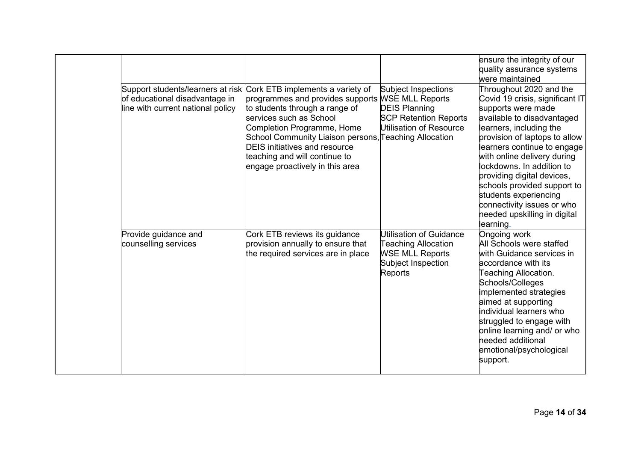|                                                                                                          |                                                                                                                                                                                                                                                                                                                                                      |                                                                                                                         | ensure the integrity of our<br>quality assurance systems<br>were maintained                                                                                                                                                                                                                                                                                                                                                           |
|----------------------------------------------------------------------------------------------------------|------------------------------------------------------------------------------------------------------------------------------------------------------------------------------------------------------------------------------------------------------------------------------------------------------------------------------------------------------|-------------------------------------------------------------------------------------------------------------------------|---------------------------------------------------------------------------------------------------------------------------------------------------------------------------------------------------------------------------------------------------------------------------------------------------------------------------------------------------------------------------------------------------------------------------------------|
| Support students/learners at risk<br>of educational disadvantage in<br>line with current national policy | Cork ETB implements a variety of<br>programmes and provides supports WSE MLL Reports<br>to students through a range of<br>services such as School<br>Completion Programme, Home<br>School Community Liaison persons, Teaching Allocation<br><b>DEIS</b> initiatives and resource<br>teaching and will continue to<br>engage proactively in this area | Subject Inspections<br><b>DEIS Planning</b><br><b>SCP Retention Reports</b><br>Utilisation of Resource                  | Throughout 2020 and the<br>Covid 19 crisis, significant IT<br>supports were made<br>available to disadvantaged<br>learners, including the<br>provision of laptops to allow<br>learners continue to engage<br>with online delivery during<br>ockdowns. In addition to<br>providing digital devices,<br>schools provided support to<br>students experiencing<br>connectivity issues or who<br>needed upskilling in digital<br>learning. |
| Provide guidance and<br>counselling services                                                             | Cork ETB reviews its guidance<br>provision annually to ensure that<br>the required services are in place                                                                                                                                                                                                                                             | Utilisation of Guidance<br><b>Teaching Allocation</b><br><b>WSE MLL Reports</b><br>Subject Inspection<br><b>Reports</b> | Ongoing work<br>All Schools were staffed<br>with Guidance services in<br>accordance with its<br>Teaching Allocation.<br>Schools/Colleges<br>implemented strategies<br>aimed at supporting<br>individual learners who<br>struggled to engage with<br>online learning and/ or who<br>needed additional<br>emotional/psychological<br>support.                                                                                           |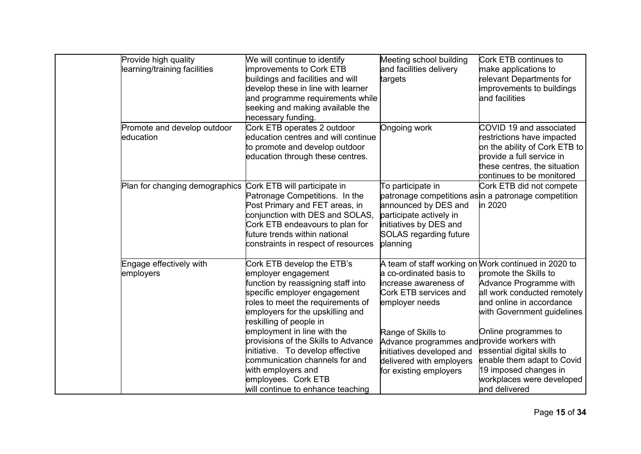| Provide high quality<br>learning/training facilities | We will continue to identify<br>improvements to Cork ETB<br>buildings and facilities and will<br>develop these in line with learner<br>and programme requirements while<br>seeking and making available the<br>necessary funding.                                                                                                                                                                                                                         | Meeting school building<br>and facilities delivery<br>targets                                                                                                                                                                                       | Cork ETB continues to<br>make applications to<br>relevant Departments for<br>improvements to buildings<br>and facilities                                                                                                                                                                                                                                     |
|------------------------------------------------------|-----------------------------------------------------------------------------------------------------------------------------------------------------------------------------------------------------------------------------------------------------------------------------------------------------------------------------------------------------------------------------------------------------------------------------------------------------------|-----------------------------------------------------------------------------------------------------------------------------------------------------------------------------------------------------------------------------------------------------|--------------------------------------------------------------------------------------------------------------------------------------------------------------------------------------------------------------------------------------------------------------------------------------------------------------------------------------------------------------|
| Promote and develop outdoor<br>education             | Cork ETB operates 2 outdoor<br>education centres and will continue<br>to promote and develop outdoor<br>education through these centres.                                                                                                                                                                                                                                                                                                                  | Ongoing work                                                                                                                                                                                                                                        | COVID 19 and associated<br>restrictions have impacted<br>on the ability of Cork ETB to<br>provide a full service in<br>these centres, the situation<br>continues to be monitored                                                                                                                                                                             |
| Plan for changing demographics                       | Cork ETB will participate in<br>Patronage Competitions. In the<br>Post Primary and FET areas, in<br>conjunction with DES and SOLAS,<br>Cork ETB endeavours to plan for<br>future trends within national<br>constraints in respect of resources                                                                                                                                                                                                            | To participate in<br>announced by DES and<br>participate actively in<br>initiatives by DES and<br><b>SOLAS regarding future</b><br>planning                                                                                                         | Cork ETB did not compete<br>patronage competitions asin a patronage competition<br>in 2020                                                                                                                                                                                                                                                                   |
| Engage effectively with<br>employers                 | Cork ETB develop the ETB's<br>employer engagement<br>function by reassigning staff into<br>specific employer engagement<br>roles to meet the requirements of<br>employers for the upskilling and<br>reskilling of people in<br>employment in line with the<br>provisions of the Skills to Advance<br>initiative. To develop effective<br>communication channels for and<br>with employers and<br>employees. Cork ETB<br>will continue to enhance teaching | a co-ordinated basis to<br>increase awareness of<br>Cork ETB services and<br>employer needs<br>Range of Skills to<br>Advance programmes and provide workers with<br>initiatives developed and<br>delivered with employers<br>for existing employers | A team of staff working on Work continued in 2020 to<br>promote the Skills to<br>Advance Programme with<br>all work conducted remotely<br>and online in accordance<br>with Government guidelines<br>Online programmes to<br>essential digital skills to<br>enable them adapt to Covid<br>19 imposed changes in<br>workplaces were developed<br>and delivered |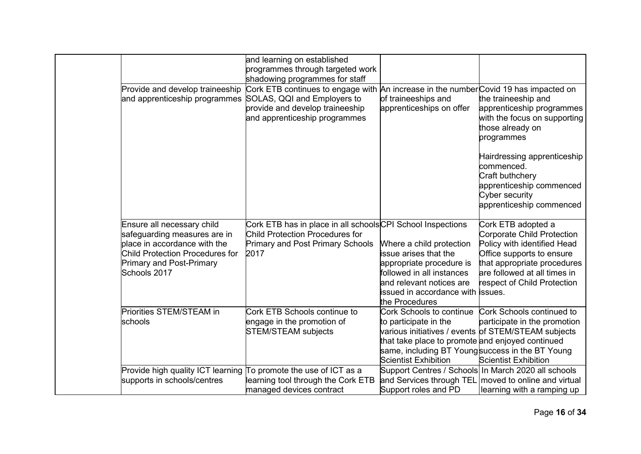|                                        | and learning on established                                |                                                                                |                                                      |
|----------------------------------------|------------------------------------------------------------|--------------------------------------------------------------------------------|------------------------------------------------------|
|                                        | programmes through targeted work                           |                                                                                |                                                      |
|                                        | shadowing programmes for staff                             |                                                                                |                                                      |
| Provide and develop traineeship        | Cork ETB continues to engage with                          | An increase in the number Covid 19 has impacted on                             |                                                      |
| and apprenticeship programmes          | SOLAS, QQI and Employers to                                | of traineeships and                                                            | the traineeship and                                  |
|                                        | provide and develop traineeship                            | apprenticeships on offer                                                       | apprenticeship programmes                            |
|                                        | and apprenticeship programmes                              |                                                                                | with the focus on supporting                         |
|                                        |                                                            |                                                                                | those already on                                     |
|                                        |                                                            |                                                                                | programmes                                           |
|                                        |                                                            |                                                                                | Hairdressing apprenticeship                          |
|                                        |                                                            |                                                                                | commenced.                                           |
|                                        |                                                            |                                                                                | Craft buthchery                                      |
|                                        |                                                            |                                                                                | apprenticeship commenced                             |
|                                        |                                                            |                                                                                | Cyber security                                       |
|                                        |                                                            |                                                                                | apprenticeship commenced                             |
|                                        |                                                            |                                                                                |                                                      |
| Ensure all necessary child             | Cork ETB has in place in all schoolsCPI School Inspections |                                                                                | Cork ETB adopted a                                   |
| safeguarding measures are in           | Child Protection Procedures for                            |                                                                                | <b>Corporate Child Protection</b>                    |
| place in accordance with the           | <b>Primary and Post Primary Schools</b>                    | Where a child protection                                                       | Policy with identified Head                          |
| <b>Child Protection Procedures for</b> | 2017                                                       | issue arises that the                                                          | Office supports to ensure                            |
| <b>Primary and Post-Primary</b>        |                                                            | appropriate procedure is                                                       | that appropriate procedures                          |
| Schools 2017                           |                                                            | followed in all instances                                                      | are followed at all times in                         |
|                                        |                                                            | and relevant notices are                                                       | respect of Child Protection                          |
|                                        |                                                            | issued in accordance with lissues.                                             |                                                      |
|                                        |                                                            | the Procedures                                                                 |                                                      |
| Priorities STEM/STEAM in               | Cork ETB Schools continue to                               | Cork Schools to continue                                                       | Cork Schools continued to                            |
| schools                                | engage in the promotion of                                 | to participate in the                                                          | participate in the promotion                         |
|                                        | <b>STEM/STEAM subjects</b>                                 |                                                                                | various initiatives / events of STEM/STEAM subjects  |
|                                        |                                                            | that take place to promote and enjoyed continued                               |                                                      |
|                                        |                                                            | same, including BT Youngsuccess in the BT Young<br><b>Scientist Exhibition</b> |                                                      |
|                                        |                                                            |                                                                                | <b>Scientist Exhibition</b>                          |
| Provide high quality ICT learning      | To promote the use of ICT as a                             | Support Centres / Schools In March 2020 all schools                            | and Services through TEL moved to online and virtual |
| supports in schools/centres            | learning tool through the Cork ETB                         | Support roles and PD                                                           |                                                      |
|                                        | managed devices contract                                   |                                                                                | learning with a ramping up                           |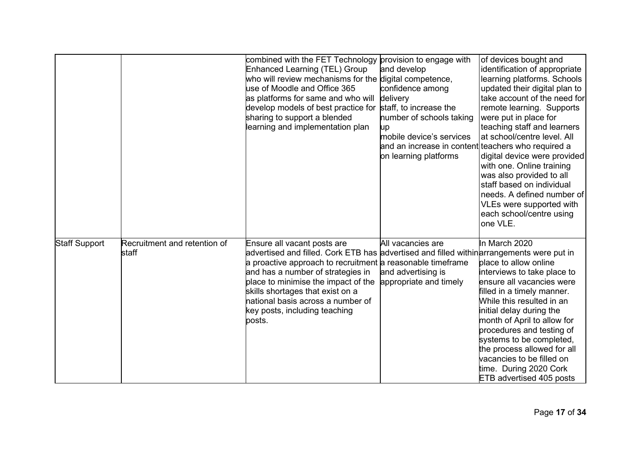|                      |                                       | combined with the FET Technology provision to engage with<br>Enhanced Learning (TEL) Group<br>who will review mechanisms for the digital competence,<br>use of Moodle and Office 365<br>as platforms for same and who will<br>develop models of best practice for<br>sharing to support a blended<br>learning and implementation plan                                                  | and develop<br>confidence among<br>delivery<br>staff, to increase the<br>number of schools taking<br>up<br>mobile device's services<br>and an increase in content teachers who required a<br>on learning platforms | of devices bought and<br>identification of appropriate<br>learning platforms. Schools<br>updated their digital plan to<br>take account of the need for<br>remote learning. Supports<br>were put in place for<br>teaching staff and learners<br>at school/centre level. All<br>digital device were provided<br>with one. Online training<br>was also provided to all<br>staff based on individual<br>needs. A defined number of<br>VLEs were supported with<br>each school/centre using<br>one VLE. |
|----------------------|---------------------------------------|----------------------------------------------------------------------------------------------------------------------------------------------------------------------------------------------------------------------------------------------------------------------------------------------------------------------------------------------------------------------------------------|--------------------------------------------------------------------------------------------------------------------------------------------------------------------------------------------------------------------|----------------------------------------------------------------------------------------------------------------------------------------------------------------------------------------------------------------------------------------------------------------------------------------------------------------------------------------------------------------------------------------------------------------------------------------------------------------------------------------------------|
| <b>Staff Support</b> | Recruitment and retention of<br>staff | Ensure all vacant posts are<br>advertised and filled. Cork ETB has advertised and filled within arrangements were put in<br>a proactive approach to recruitment a reasonable timeframe<br>and has a number of strategies in<br>place to minimise the impact of the<br>skills shortages that exist on a<br>national basis across a number of<br>key posts, including teaching<br>posts. | All vacancies are<br>and advertising is<br>appropriate and timely                                                                                                                                                  | In March 2020<br>place to allow online<br>interviews to take place to<br>ensure all vacancies were<br>filled in a timely manner.<br>While this resulted in an<br>initial delay during the<br>month of April to allow for<br>procedures and testing of<br>systems to be completed,<br>the process allowed for all<br>vacancies to be filled on<br>time. During 2020 Cork<br><b>ETB</b> advertised 405 posts                                                                                         |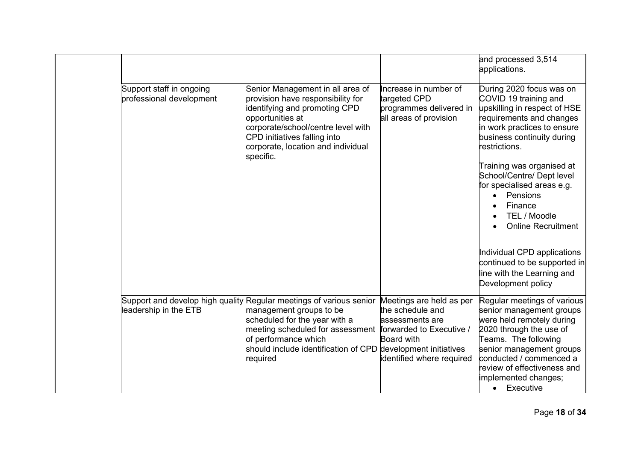|                                                      |                                                                                                                                                                                                                                                                                                  |                                                                                                                   | and processed 3,514<br>applications.                                                                                                                                                                                                                                                                                                                                                                                                                                       |
|------------------------------------------------------|--------------------------------------------------------------------------------------------------------------------------------------------------------------------------------------------------------------------------------------------------------------------------------------------------|-------------------------------------------------------------------------------------------------------------------|----------------------------------------------------------------------------------------------------------------------------------------------------------------------------------------------------------------------------------------------------------------------------------------------------------------------------------------------------------------------------------------------------------------------------------------------------------------------------|
| Support staff in ongoing<br>professional development | Senior Management in all area of<br>provision have responsibility for<br>identifying and promoting CPD<br>opportunities at<br>corporate/school/centre level with<br>CPD initiatives falling into<br>corporate, location and individual<br>specific.                                              | Increase in number of<br>targeted CPD<br>programmes delivered in<br>all areas of provision                        | During 2020 focus was on<br>COVID 19 training and<br>upskilling in respect of HSE<br>requirements and changes<br>in work practices to ensure<br>business continuity during<br>restrictions.<br>Training was organised at<br>School/Centre/ Dept level<br>for specialised areas e.g.<br>Pensions<br>Finance<br>TEL / Moodle<br><b>Online Recruitment</b><br>Individual CPD applications<br>continued to be supported in<br>line with the Learning and<br>Development policy |
| leadership in the ETB                                | Support and develop high quality Regular meetings of various senior<br>management groups to be<br>scheduled for the year with a<br>meeting scheduled for assessment forwarded to Executive /<br>of performance which<br>should include identification of CPD development initiatives<br>required | Meetings are held as per<br>the schedule and<br>assessments are<br><b>Board with</b><br>identified where required | Regular meetings of various<br>senior management groups<br>were held remotely during<br>2020 through the use of<br>Teams. The following<br>senior management groups<br>conducted / commenced a<br>review of effectiveness and<br>implemented changes;<br>• Executive                                                                                                                                                                                                       |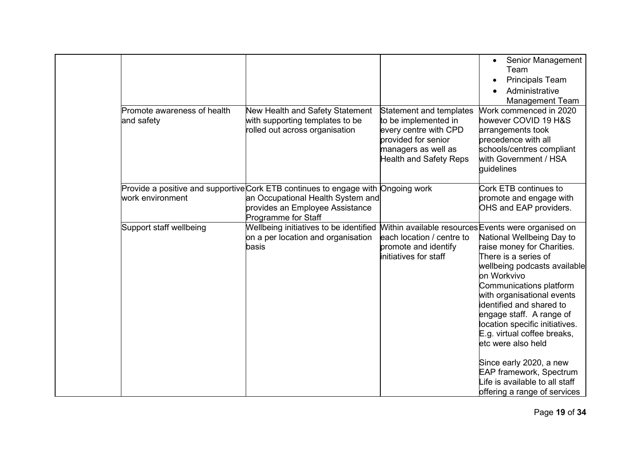| Promote awareness of health<br>and safety | New Health and Safety Statement<br>with supporting templates to be<br>rolled out across organisation                                                                            | Statement and templates<br>to be implemented in<br>every centre with CPD<br>provided for senior<br>managers as well as<br><b>Health and Safety Reps</b> | Senior Management<br>$\bullet$<br>Team<br><b>Principals Team</b><br>Administrative<br><b>Management Team</b><br>Work commenced in 2020<br>however COVID 19 H&S<br>arrangements took<br>precedence with all<br>schools/centres compliant<br>with Government / HSA<br>quidelines                                                                                                                                                                                                                                               |
|-------------------------------------------|---------------------------------------------------------------------------------------------------------------------------------------------------------------------------------|---------------------------------------------------------------------------------------------------------------------------------------------------------|------------------------------------------------------------------------------------------------------------------------------------------------------------------------------------------------------------------------------------------------------------------------------------------------------------------------------------------------------------------------------------------------------------------------------------------------------------------------------------------------------------------------------|
| work environment                          | Provide a positive and supportive Cork ETB continues to engage with Ongoing work<br>an Occupational Health System and<br>provides an Employee Assistance<br>Programme for Staff |                                                                                                                                                         | Cork ETB continues to<br>promote and engage with<br>OHS and EAP providers.                                                                                                                                                                                                                                                                                                                                                                                                                                                   |
| Support staff wellbeing                   | Wellbeing initiatives to be identified<br>on a per location and organisation<br>basis                                                                                           | each location / centre to<br>promote and identify<br>initiatives for staff                                                                              | Within available resources Events were organised on<br>National Wellbeing Day to<br>raise money for Charities.<br>There is a series of<br>wellbeing podcasts available<br>on Workvivo<br>Communications platform<br>with organisational events<br>identified and shared to<br>engage staff. A range of<br>location specific initiatives.<br>E.g. virtual coffee breaks,<br>etc were also held<br>Since early 2020, a new<br><b>EAP framework, Spectrum</b><br>Life is available to all staff<br>offering a range of services |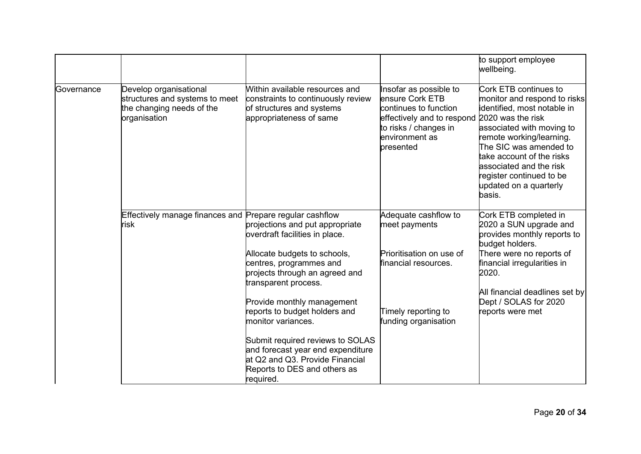|            |                                                                                                       |                                                                                                                                                       |                                                                                                                                                          | to support employee<br>wellbeing.                                                                                                                                                                                                                                                                                    |
|------------|-------------------------------------------------------------------------------------------------------|-------------------------------------------------------------------------------------------------------------------------------------------------------|----------------------------------------------------------------------------------------------------------------------------------------------------------|----------------------------------------------------------------------------------------------------------------------------------------------------------------------------------------------------------------------------------------------------------------------------------------------------------------------|
| Governance | Develop organisational<br>structures and systems to meet<br>the changing needs of the<br>organisation | Within available resources and<br>constraints to continuously review<br>of structures and systems<br>appropriateness of same                          | Insofar as possible to<br>ensure Cork ETB<br>continues to function<br>effectively and to respond<br>to risks / changes in<br>environment as<br>presented | Cork ETB continues to<br>monitor and respond to risks<br>identified, most notable in<br>2020 was the risk<br>associated with moving to<br>remote working/learning.<br>The SIC was amended to<br>take account of the risks<br>associated and the risk<br>register continued to be<br>updated on a quarterly<br>basis. |
|            | Effectively manage finances and<br>risk                                                               | Prepare regular cashflow<br>projections and put appropriate<br>overdraft facilities in place.                                                         | Adequate cashflow to<br>meet payments                                                                                                                    | Cork ETB completed in<br>2020 a SUN upgrade and<br>provides monthly reports to<br>budget holders.                                                                                                                                                                                                                    |
|            |                                                                                                       | Allocate budgets to schools,<br>centres, programmes and<br>projects through an agreed and<br>transparent process.                                     | Prioritisation on use of<br>financial resources.                                                                                                         | There were no reports of<br>financial irregularities in<br>2020.                                                                                                                                                                                                                                                     |
|            |                                                                                                       | Provide monthly management<br>reports to budget holders and<br>monitor variances.                                                                     | Timely reporting to<br>funding organisation                                                                                                              | All financial deadlines set by<br>Dept / SOLAS for 2020<br>reports were met                                                                                                                                                                                                                                          |
|            |                                                                                                       | Submit required reviews to SOLAS<br>and forecast year end expenditure<br>at Q2 and Q3. Provide Financial<br>Reports to DES and others as<br>required. |                                                                                                                                                          |                                                                                                                                                                                                                                                                                                                      |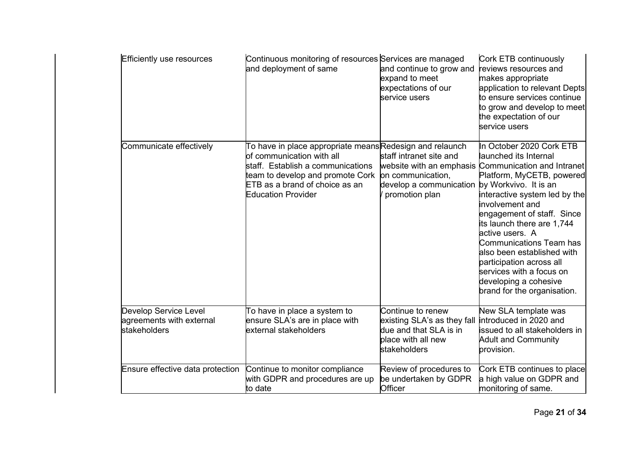| <b>Efficiently use resources</b>                                  | Continuous monitoring of resources Services are managed<br>and deployment of same                                                                                                                                            | and continue to grow and<br>expand to meet<br>expectations of our<br>service users                               | Cork ETB continuously<br>reviews resources and<br>makes appropriate<br>application to relevant Depts<br>to ensure services continue<br>to grow and develop to meet<br>the expectation of our<br>service users                                                                                                                                                                                                                                            |
|-------------------------------------------------------------------|------------------------------------------------------------------------------------------------------------------------------------------------------------------------------------------------------------------------------|------------------------------------------------------------------------------------------------------------------|----------------------------------------------------------------------------------------------------------------------------------------------------------------------------------------------------------------------------------------------------------------------------------------------------------------------------------------------------------------------------------------------------------------------------------------------------------|
| Communicate effectively                                           | To have in place appropriate meansRedesign and relaunch<br>of communication with all<br>staff. Establish a communications<br>team to develop and promote Cork<br>ETB as a brand of choice as an<br><b>Education Provider</b> | staff intranet site and<br>on communication,<br>develop a communication by Workvivo. It is an<br>promotion plan  | In October 2020 Cork ETB<br>launched its Internal<br>website with an emphasis Communication and Intranet<br>Platform, MyCETB, powered<br>interactive system led by the<br>involvement and<br>engagement of staff. Since<br>its launch there are 1,744<br>active users. A<br><b>Communications Team has</b><br>also been established with<br>participation across all<br>services with a focus on<br>developing a cohesive<br>brand for the organisation. |
| Develop Service Level<br>agreements with external<br>stakeholders | To have in place a system to<br>ensure SLA's are in place with<br>external stakeholders                                                                                                                                      | Continue to renew<br>existing SLA's as they fall<br>due and that SLA is in<br>place with all new<br>stakeholders | New SLA template was<br>introduced in 2020 and<br>issued to all stakeholders in<br><b>Adult and Community</b><br>provision.                                                                                                                                                                                                                                                                                                                              |
| Ensure effective data protection                                  | Continue to monitor compliance<br>with GDPR and procedures are up<br>to date                                                                                                                                                 | Review of procedures to<br>be undertaken by GDPR<br>Officer                                                      | Cork ETB continues to place<br>a high value on GDPR and<br>monitoring of same.                                                                                                                                                                                                                                                                                                                                                                           |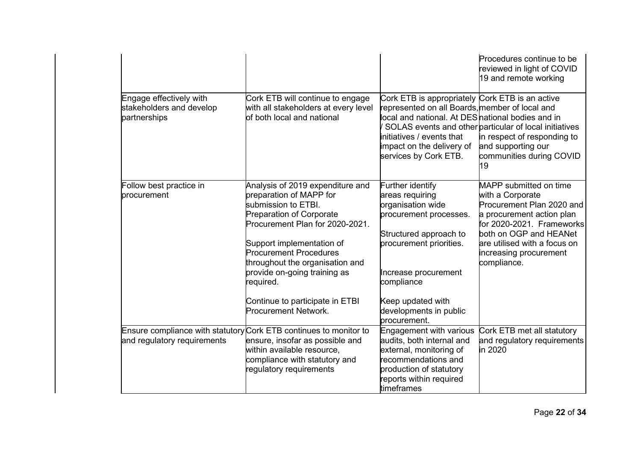|                                                                     |                                                                                                                                                                                                                                                                                                                                                                          |                                                                                                                                                                                                                                                        | Procedures continue to be<br>reviewed in light of COVID<br>19 and remote working                                                                                                                                                     |
|---------------------------------------------------------------------|--------------------------------------------------------------------------------------------------------------------------------------------------------------------------------------------------------------------------------------------------------------------------------------------------------------------------------------------------------------------------|--------------------------------------------------------------------------------------------------------------------------------------------------------------------------------------------------------------------------------------------------------|--------------------------------------------------------------------------------------------------------------------------------------------------------------------------------------------------------------------------------------|
| Engage effectively with<br>stakeholders and develop<br>partnerships | Cork ETB will continue to engage<br>with all stakeholders at every level<br>of both local and national                                                                                                                                                                                                                                                                   | Cork ETB is appropriately Cork ETB is an active<br>represented on all Boards, member of local and<br>local and national. At DES <sup>h</sup> ational bodies and in<br>linitiatives / events that<br>impact on the delivery of<br>services by Cork ETB. | SOLAS events and other particular of local initiatives<br>in respect of responding to<br>and supporting our<br>communities during COVID<br>19                                                                                        |
| Follow best practice in<br>procurement                              | Analysis of 2019 expenditure and<br>preparation of MAPP for<br>submission to ETBI.<br><b>Preparation of Corporate</b><br>Procurement Plan for 2020-2021.<br>Support implementation of<br><b>Procurement Procedures</b><br>throughout the organisation and<br>provide on-going training as<br>required.<br>Continue to participate in ETBI<br><b>Procurement Network.</b> | Further identify<br>areas requiring<br>organisation wide<br>procurement processes.<br>Structured approach to<br>procurement priorities.<br>Increase procurement<br>compliance<br>Keep updated with<br>developments in public<br>procurement.           | MAPP submitted on time<br>with a Corporate<br>Procurement Plan 2020 and<br>a procurement action plan<br>for 2020-2021. Frameworks<br>both on OGP and HEANet<br>are utilised with a focus on<br>increasing procurement<br>compliance. |
| and regulatory requirements                                         | Ensure compliance with statutory Cork ETB continues to monitor to<br>ensure, insofar as possible and<br>within available resource,<br>compliance with statutory and<br>regulatory requirements                                                                                                                                                                           | <b>Engagement with various</b><br>audits, both internal and<br>external, monitoring of<br>recommendations and<br>production of statutory<br>reports within required<br>timeframes                                                                      | Cork ETB met all statutory<br>and regulatory requirements<br>in 2020                                                                                                                                                                 |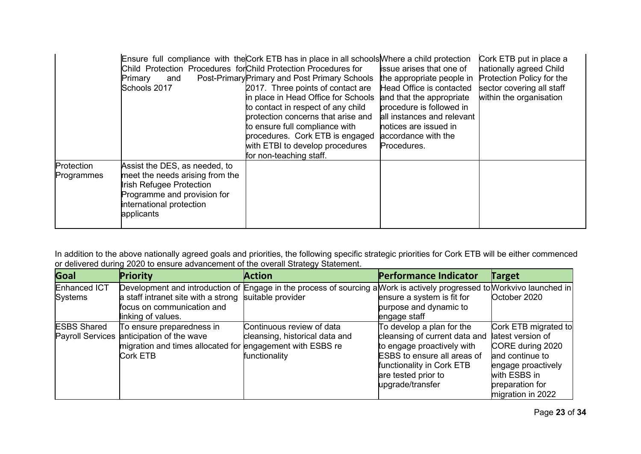|                          | Child Protection Procedures for Child Protection Procedures for<br>Primary<br>and<br>Schools 2017                                                                            | Ensure full compliance with the Cork ETB has in place in all schools Where a child protection<br>Post-Primary Primary and Post Primary Schools<br>2017. Three points of contact are<br>in place in Head Office for Schools<br>to contact in respect of any child<br>protection concerns that arise and<br>to ensure full compliance with<br>procedures. Cork ETB is engaged<br>with ETBI to develop procedures<br>for non-teaching staff. | <b>issue arises that one of</b><br>the appropriate people in<br>Head Office is contacted<br>and that the appropriate<br>procedure is followed in<br>all instances and relevant<br>notices are issued in<br>accordance with the<br>Procedures. | Cork ETB put in place a<br>nationally agreed Child<br>Protection Policy for the<br>sector covering all staff<br>within the organisation |
|--------------------------|------------------------------------------------------------------------------------------------------------------------------------------------------------------------------|-------------------------------------------------------------------------------------------------------------------------------------------------------------------------------------------------------------------------------------------------------------------------------------------------------------------------------------------------------------------------------------------------------------------------------------------|-----------------------------------------------------------------------------------------------------------------------------------------------------------------------------------------------------------------------------------------------|-----------------------------------------------------------------------------------------------------------------------------------------|
| Protection<br>Programmes | Assist the DES, as needed, to<br>meet the needs arising from the<br><b>Irish Refugee Protection</b><br>Programme and provision for<br>international protection<br>applicants |                                                                                                                                                                                                                                                                                                                                                                                                                                           |                                                                                                                                                                                                                                               |                                                                                                                                         |

In addition to the above nationally agreed goals and priorities, the following specific strategic priorities for Cork ETB will be either commenced or delivered during 2020 to ensure advancement of the overall Strategy Statement.

| Goal               | Priority                                                  | <b>Action</b>                                                                                                           | <b>Performance Indicator</b>       | <b>Target</b>        |
|--------------------|-----------------------------------------------------------|-------------------------------------------------------------------------------------------------------------------------|------------------------------------|----------------------|
| Enhanced ICT       |                                                           | Development and introduction of Engage in the process of sourcing a Work is actively progressed to Workvivo launched in |                                    |                      |
| Systems            | a staff intranet site with a strong suitable provider     |                                                                                                                         | ensure a system is fit for         | October 2020         |
|                    | focus on communication and                                |                                                                                                                         | purpose and dynamic to             |                      |
|                    | linking of values.                                        |                                                                                                                         | engage staff                       |                      |
| <b>ESBS Shared</b> | To ensure preparedness in                                 | Continuous review of data                                                                                               | To develop a plan for the          | Cork ETB migrated to |
|                    | Payroll Services anticipation of the wave                 | cleansing, historical data and                                                                                          | cleansing of current data and      | latest version of    |
|                    | migration and times allocated for engagement with ESBS re |                                                                                                                         | to engage proactively with         | CORE during 2020     |
|                    | <b>Cork ETB</b>                                           | functionality                                                                                                           | <b>ESBS</b> to ensure all areas of | and continue to      |
|                    |                                                           |                                                                                                                         | functionality in Cork ETB          | engage proactively   |
|                    |                                                           |                                                                                                                         | are tested prior to                | with ESBS in         |
|                    |                                                           |                                                                                                                         | upgrade/transfer                   | preparation for      |
|                    |                                                           |                                                                                                                         |                                    | migration in 2022    |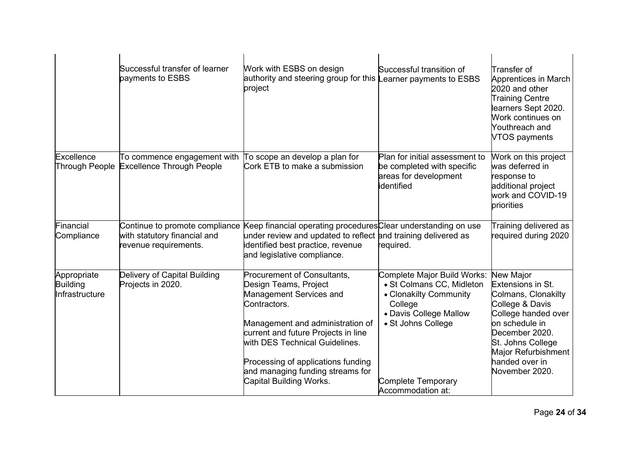|                                           | Successful transfer of learner<br>payments to ESBS                                      | Work with ESBS on design<br>authority and steering group for this Learner payments to ESBS<br>project                                                                                                                                                                                                             | Successful transition of                                                                                                                                                                        | Transfer of<br>Apprentices in March<br>2020 and other<br><b>Training Centre</b><br>learners Sept 2020.<br>Work continues on<br>Youthreach and<br>VTOS payments                                                                    |
|-------------------------------------------|-----------------------------------------------------------------------------------------|-------------------------------------------------------------------------------------------------------------------------------------------------------------------------------------------------------------------------------------------------------------------------------------------------------------------|-------------------------------------------------------------------------------------------------------------------------------------------------------------------------------------------------|-----------------------------------------------------------------------------------------------------------------------------------------------------------------------------------------------------------------------------------|
| Excellence<br>Through People              | To commence engagement with<br><b>Excellence Through People</b>                         | To scope an develop a plan for<br>Cork ETB to make a submission                                                                                                                                                                                                                                                   | Plan for initial assessment to<br>be completed with specific<br>areas for development<br>identified                                                                                             | Work on this project<br>was deferred in<br>response to<br>additional project<br>work and COVID-19<br>priorities                                                                                                                   |
| Financial<br>Compliance                   | Continue to promote compliance<br>with statutory financial and<br>revenue requirements. | Keep financial operating procedures Clear understanding on use<br>under review and updated to reflect and training delivered as<br>identified best practice, revenue<br>and legislative compliance.                                                                                                               | required.                                                                                                                                                                                       | Training delivered as<br>required during 2020                                                                                                                                                                                     |
| Appropriate<br>Building<br>Infrastructure | Delivery of Capital Building<br>Projects in 2020.                                       | Procurement of Consultants,<br>Design Teams, Project<br>Management Services and<br>Contractors.<br>Management and administration of<br>current and future Projects in line<br>with DES Technical Guidelines.<br>Processing of applications funding<br>and managing funding streams for<br>Capital Building Works. | Complete Major Build Works:<br>• St Colmans CC, Midleton<br>• Clonakilty Community<br>College<br>• Davis College Mallow<br>• St Johns College<br><b>Complete Temporary</b><br>Accommodation at: | <b>New Major</b><br><b>Extensions in St.</b><br>Colmans, Clonakilty<br>College & Davis<br>College handed over<br>on schedule in<br>December 2020.<br>St. Johns College<br>Major Refurbishment<br>handed over in<br>November 2020. |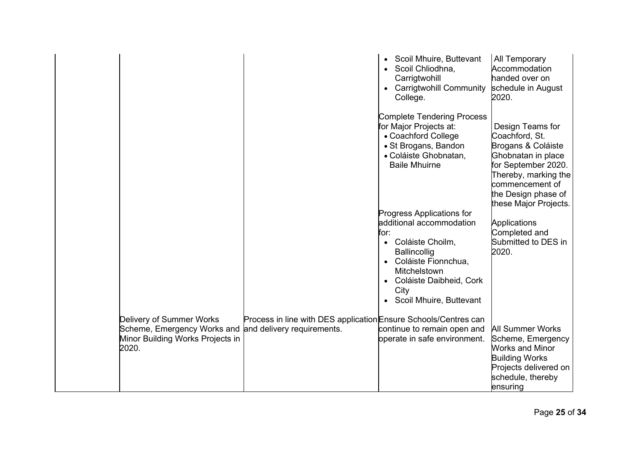|                                                                                                      |                                                                                               | Scoil Mhuire, Buttevant<br>$\bullet$<br>Scoil Chliodhna,<br>Carrigtwohill<br><b>Carrigtwohill Community</b><br>$\bullet$<br>College.<br><b>Complete Tendering Process</b><br>for Major Projects at:<br>• Coachford College<br>• St Brogans, Bandon<br>• Coláiste Ghobnatan,<br><b>Baile Mhuirne</b><br><b>Progress Applications for</b><br>additional accommodation<br>for:<br>Coláiste Choilm,<br>$\bullet$<br><b>Ballincollig</b><br>Coláiste Fionnchua,<br>$\bullet$<br><b>Mitchelstown</b><br>• Coláiste Daibheid, Cork<br>City<br>Scoil Mhuire, Buttevant<br>$\bullet$ | All Temporary<br>Accommodation<br>handed over on<br>schedule in August<br>2020.<br>Design Teams for<br>Coachford, St.<br>Brogans & Coláiste<br>Ghobnatan in place<br>for September 2020.<br>Thereby, marking the<br>commencement of<br>the Design phase of<br>these Major Projects.<br>Applications<br>Completed and<br>Submitted to DES in<br>2020. |
|------------------------------------------------------------------------------------------------------|-----------------------------------------------------------------------------------------------|-----------------------------------------------------------------------------------------------------------------------------------------------------------------------------------------------------------------------------------------------------------------------------------------------------------------------------------------------------------------------------------------------------------------------------------------------------------------------------------------------------------------------------------------------------------------------------|------------------------------------------------------------------------------------------------------------------------------------------------------------------------------------------------------------------------------------------------------------------------------------------------------------------------------------------------------|
| Delivery of Summer Works<br>Scheme, Emergency Works and<br>Minor Building Works Projects in<br>2020. | Process in line with DES application Ensure Schools/Centres can<br>and delivery requirements. | continue to remain open and<br>operate in safe environment.                                                                                                                                                                                                                                                                                                                                                                                                                                                                                                                 | <b>All Summer Works</b><br>Scheme, Emergency<br>Works and Minor<br><b>Building Works</b><br>Projects delivered on<br>schedule, thereby<br>ensuring                                                                                                                                                                                                   |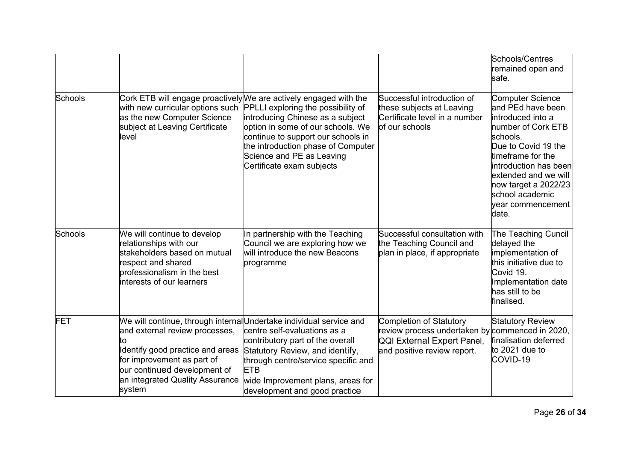|         |                                                                                                                                                                                                                                                           |                                                                                                                                                                                                                                                                                                                        |                                                                                                                                                | Schools/Centres<br>remained open and<br>safe.                                                                                                                                                                                                                             |
|---------|-----------------------------------------------------------------------------------------------------------------------------------------------------------------------------------------------------------------------------------------------------------|------------------------------------------------------------------------------------------------------------------------------------------------------------------------------------------------------------------------------------------------------------------------------------------------------------------------|------------------------------------------------------------------------------------------------------------------------------------------------|---------------------------------------------------------------------------------------------------------------------------------------------------------------------------------------------------------------------------------------------------------------------------|
| Schools | with new curricular options such<br>as the new Computer Science<br>subject at Leaving Certificate<br>level                                                                                                                                                | Cork ETB will engage proactively We are actively engaged with the<br>PPLLI exploring the possibility of<br>introducing Chinese as a subject<br>option in some of our schools. We<br>continue to support our schools in<br>the introduction phase of Computer<br>Science and PE as Leaving<br>Certificate exam subjects | Successful introduction of<br>these subjects at Leaving<br>Certificate level in a number<br>of our schools                                     | <b>Computer Science</b><br>and PEd have been<br>introduced into a<br>number of Cork ETB<br>schools.<br>Due to Covid 19 the<br>timeframe for the<br>introduction has been<br>extended and we will<br>now target a 2022/23<br>school academic<br>year commencement<br>date. |
| Schools | We will continue to develop<br>relationships with our<br>stakeholders based on mutual<br>respect and shared<br>professionalism in the best<br>interests of our learners                                                                                   | In partnership with the Teaching<br>Council we are exploring how we<br>will introduce the new Beacons<br>programme                                                                                                                                                                                                     | Successful consultation with<br>the Teaching Council and<br>plan in place, if appropriate                                                      | The Teaching Cuncil<br>delayed the<br>implementation of<br>this initiative due to<br>Covid 19.<br>Implementation date<br>has still to be<br>finalised.                                                                                                                    |
| FET     | We will continue, through internalUndertake individual service and<br>and external review processes,<br>tი<br>Identify good practice and areas<br>for improvement as part of<br>our continued development of<br>an integrated Quality Assurance<br>system | centre self-evaluations as a<br>contributory part of the overall<br>Statutory Review, and identify,<br>through centre/service specific and<br><b>ETB</b><br>wide Improvement plans, areas for<br>development and good practice                                                                                         | <b>Completion of Statutory</b><br>review process undertaken by commenced in 2020,<br>QQI External Expert Panel,<br>and positive review report. | <b>Statutory Review</b><br>finalisation deferred<br>to 2021 due to<br>COVID-19                                                                                                                                                                                            |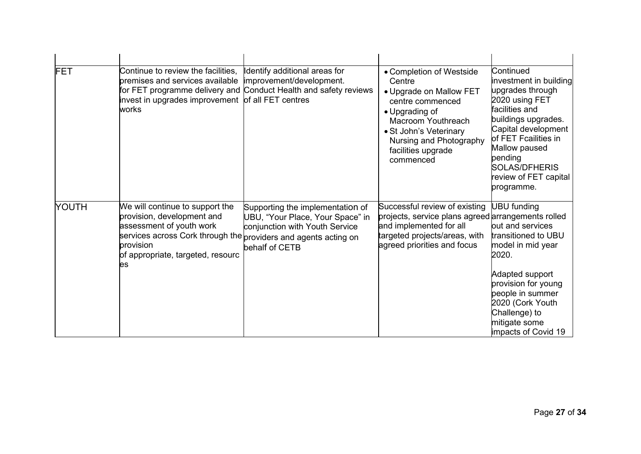| FET   | Continue to review the facilities,<br>premises and services available<br>invest in upgrades improvement<br>works                                                                      | Identify additional areas for<br>improvement/development.<br>for FET programme delivery and Conduct Health and safety reviews<br>of all FET centres        | • Completion of Westside<br>Centre<br>• Upgrade on Mallow FET<br>centre commenced<br>• Upgrading of<br>Macroom Youthreach<br>• St John's Veterinary<br>Nursing and Photography<br>facilities upgrade<br>commenced | Continued<br>investment in building<br>upgrades through<br>2020 using FET<br>facilities and<br>buildings upgrades.<br>Capital development<br>of FET Fcailities in<br>Mallow paused<br>pending<br><b>SOLAS/DFHERIS</b><br>review of FET capital<br>programme. |
|-------|---------------------------------------------------------------------------------------------------------------------------------------------------------------------------------------|------------------------------------------------------------------------------------------------------------------------------------------------------------|-------------------------------------------------------------------------------------------------------------------------------------------------------------------------------------------------------------------|--------------------------------------------------------------------------------------------------------------------------------------------------------------------------------------------------------------------------------------------------------------|
| YOUTH | We will continue to support the<br>provision, development and<br>assessment of youth work<br>services across Cork through the<br>provision<br>of appropriate, targeted, resourc<br>es | Supporting the implementation of<br>UBU, "Your Place, Your Space" in<br>conjunction with Youth Service<br>providers and agents acting on<br>behalf of CETB | Successful review of existing<br>projects, service plans agreed arrangements rolled<br>and implemented for all<br>targeted projects/areas, with<br>agreed priorities and focus                                    | <b>UBU</b> funding<br>out and services<br>transitioned to UBU<br>model in mid year<br>2020.<br>Adapted support<br>provision for young<br>people in summer<br>2020 (Cork Youth<br>Challenge) to<br>mitigate some<br>impacts of Covid 19                       |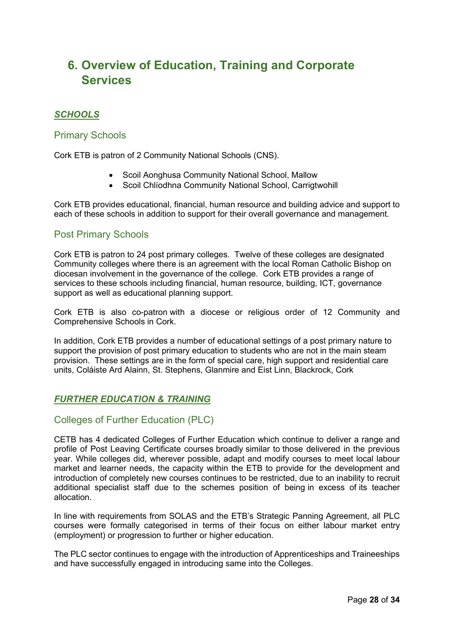# <span id="page-27-0"></span>**6. Overview of Education, Training and Corporate Services**

## *SCHOOLS*

### Primary Schools

Cork ETB is patron of 2 Community National Schools (CNS).

- Scoil Aonghusa Community National School, Mallow
- Scoil Chlíodhna Community National School, Carrigtwohill

Cork ETB provides educational, financial, human resource and building advice and support to each of these schools in addition to support for their overall governance and management.

## Post Primary Schools

Cork ETB is patron to 24 post primary colleges. Twelve of these colleges are designated Community colleges where there is an agreement with the local Roman Catholic Bishop on diocesan involvement in the governance of the college. Cork ETB provides a range of services to these schools including financial, human resource, building, ICT, governance support as well as educational planning support.

Cork ETB is also co-patron with a diocese or religious order of 12 Community and Comprehensive Schools in Cork.

In addition, Cork ETB provides a number of educational settings of a post primary nature to support the provision of post primary education to students who are not in the main steam provision. These settings are in the form of special care, high support and residential care units, Coláiste Ard Alainn, St. Stephens, Glanmire and Eist Linn, Blackrock, Cork

## *FURTHER EDUCATION & TRAINING*

## Colleges of Further Education (PLC)

CETB has 4 dedicated Colleges of Further Education which continue to deliver a range and profile of Post Leaving Certificate courses broadly similar to those delivered in the previous year. While colleges did, wherever possible, adapt and modify courses to meet local labour market and learner needs, the capacity within the ETB to provide for the development and introduction of completely new courses continues to be restricted, due to an inability to recruit additional specialist staff due to the schemes position of being in excess of its teacher allocation.

In line with requirements from SOLAS and the ETB's Strategic Panning Agreement, all PLC courses were formally categorised in terms of their focus on either labour market entry (employment) or progression to further or higher education.

The PLC sector continues to engage with the introduction of Apprenticeships and Traineeships and have successfully engaged in introducing same into the Colleges.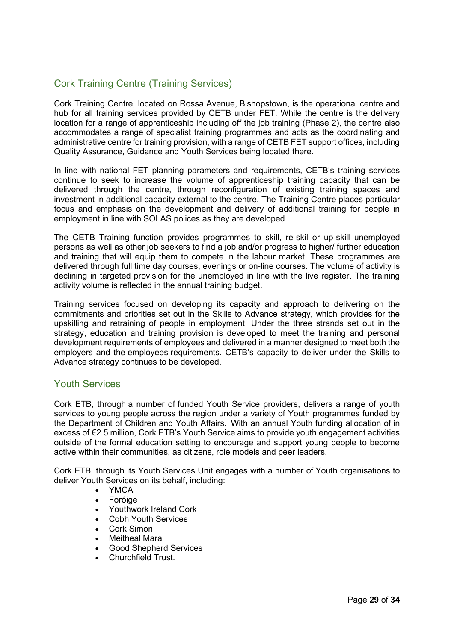## Cork Training Centre (Training Services)

Cork Training Centre, located on Rossa Avenue, Bishopstown, is the operational centre and hub for all training services provided by CETB under FET. While the centre is the delivery location for a range of apprenticeship including off the job training (Phase 2), the centre also accommodates a range of specialist training programmes and acts as the coordinating and administrative centre for training provision, with a range of CETB FET support offices, including Quality Assurance, Guidance and Youth Services being located there.

In line with national FET planning parameters and requirements, CETB's training services continue to seek to increase the volume of apprenticeship training capacity that can be delivered through the centre, through reconfiguration of existing training spaces and investment in additional capacity external to the centre. The Training Centre places particular focus and emphasis on the development and delivery of additional training for people in employment in line with SOLAS polices as they are developed.

The CETB Training function provides programmes to skill, re-skill or up-skill unemployed persons as well as other job seekers to find a job and/or progress to higher/ further education and training that will equip them to compete in the labour market. These programmes are delivered through full time day courses, evenings or on-line courses. The volume of activity is declining in targeted provision for the unemployed in line with the live register. The training activity volume is reflected in the annual training budget.

Training services focused on developing its capacity and approach to delivering on the commitments and priorities set out in the Skills to Advance strategy, which provides for the upskilling and retraining of people in employment. Under the three strands set out in the strategy, education and training provision is developed to meet the training and personal development requirements of employees and delivered in a manner designed to meet both the employers and the employees requirements. CETB's capacity to deliver under the Skills to Advance strategy continues to be developed.

### Youth Services

Cork ETB, through a number of funded Youth Service providers, delivers a range of youth services to young people across the region under a variety of Youth programmes funded by the Department of Children and Youth Affairs.  With an annual Youth funding allocation of in excess of €2.5 million, Cork ETB's Youth Service aims to provide youth engagement activities outside of the formal education setting to encourage and support young people to become active within their communities, as citizens, role models and peer leaders.

Cork ETB, through its Youth Services Unit engages with a number of Youth organisations to deliver Youth Services on its behalf, including:

- YMCA
- Foróige
- Youthwork Ireland Cork
- Cobh Youth Services
- Cork Simon
- Meitheal Mara
- Good Shepherd Services
- Churchfield Trust.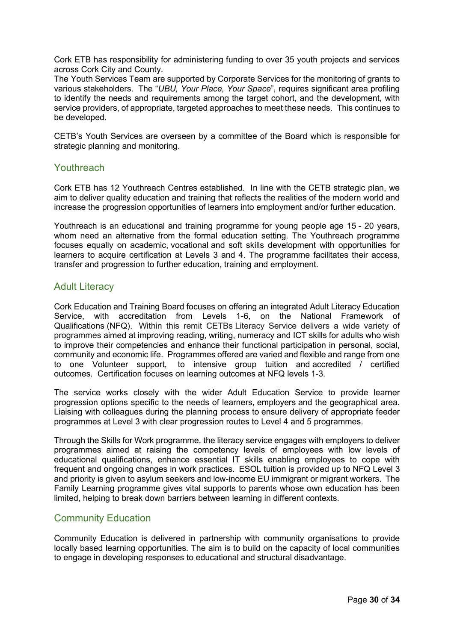Cork ETB has responsibility for administering funding to over 35 youth projects and services across Cork City and County.

The Youth Services Team are supported by Corporate Services for the monitoring of grants to various stakeholders. The "*UBU, Your Place, Your Space*", requires significant area profiling to identify the needs and requirements among the target cohort, and the development, with service providers, of appropriate, targeted approaches to meet these needs. This continues to be developed.

CETB's Youth Services are overseen by a committee of the Board which is responsible for strategic planning and monitoring.

#### Youthreach

Cork ETB has 12 Youthreach Centres established. In line with the CETB strategic plan, we aim to deliver quality education and training that reflects the realities of the modern world and increase the progression opportunities of learners into employment and/or further education.

Youthreach is an educational and training programme for young people age 15 - 20 years, whom need an alternative from the formal education setting. The Youthreach programme focuses equally on academic, vocational and soft skills development with opportunities for learners to acquire certification at Levels 3 and 4. The programme facilitates their access, transfer and progression to further education, training and employment.

### Adult Literacy

Cork Education and Training Board focuses on offering an integrated Adult Literacy Education Service, with accreditation from Levels 1-6, on the National Framework of Qualifications (NFQ). Within this remit CETBs Literacy Service delivers a wide variety of programmes aimed at improving reading, writing, numeracy and ICT skills for adults who wish to improve their competencies and enhance their functional participation in personal, social, community and economic life. Programmes offered are varied and flexible and range from one to one Volunteer support, to intensive group tuition and accredited / certified outcomes. Certification focuses on learning outcomes at NFQ levels 1-3.

The service works closely with the wider Adult Education Service to provide learner progression options specific to the needs of learners, employers and the geographical area. Liaising with colleagues during the planning process to ensure delivery of appropriate feeder programmes at Level 3 with clear progression routes to Level 4 and 5 programmes.

Through the Skills for Work programme, the literacy service engages with employers to deliver programmes aimed at raising the competency levels of employees with low levels of educational qualifications, enhance essential IT skills enabling employees to cope with frequent and ongoing changes in work practices.  ESOL tuition is provided up to NFQ Level 3 and priority is given to asylum seekers and low-income EU immigrant or migrant workers.  The Family Learning programme gives vital supports to parents whose own education has been limited, helping to break down barriers between learning in different contexts.

### Community Education

Community Education is delivered in partnership with community organisations to provide locally based learning opportunities. The aim is to build on the capacity of local communities to engage in developing responses to educational and structural disadvantage.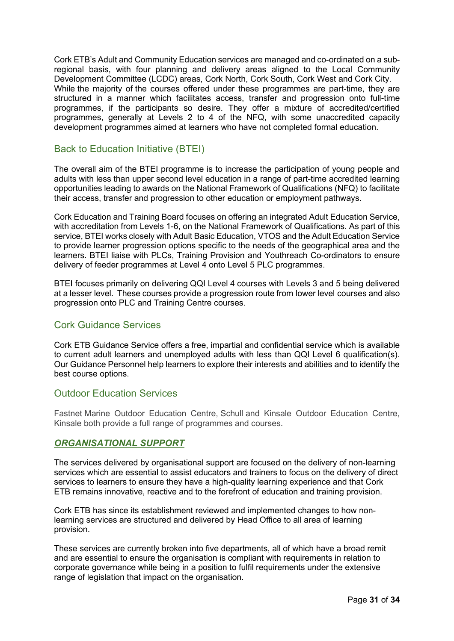Cork ETB's Adult and Community Education services are managed and co-ordinated on a subregional basis, with four planning and delivery areas aligned to the Local Community Development Committee (LCDC) areas, Cork North, Cork South, Cork West and Cork City. While the majority of the courses offered under these programmes are part-time, they are structured in a manner which facilitates access, transfer and progression onto full-time programmes, if the participants so desire. They offer a mixture of accredited/certified programmes, generally at Levels 2 to 4 of the NFQ, with some unaccredited capacity development programmes aimed at learners who have not completed formal education.

### Back to Education Initiative (BTEI)

The overall aim of the BTEI programme is to increase the participation of young people and adults with less than upper second level education in a range of part-time accredited learning opportunities leading to awards on the National Framework of Qualifications (NFQ) to facilitate their access, transfer and progression to other education or employment pathways.

Cork Education and Training Board focuses on offering an integrated Adult Education Service, with accreditation from Levels 1-6, on the National Framework of Qualifications. As part of this service, BTEI works closely with Adult Basic Education, VTOS and the Adult Education Service to provide learner progression options specific to the needs of the geographical area and the learners. BTEI liaise with PLCs, Training Provision and Youthreach Co-ordinators to ensure delivery of feeder programmes at Level 4 onto Level 5 PLC programmes.

BTEI focuses primarily on delivering QQI Level 4 courses with Levels 3 and 5 being delivered at a lesser level.  These courses provide a progression route from lower level courses and also progression onto PLC and Training Centre courses. 

### Cork Guidance Services

Cork ETB Guidance Service offers a free, impartial and confidential service which is available to current adult learners and unemployed adults with less than QQI Level 6 qualification(s). Our Guidance Personnel help learners to explore their interests and abilities and to identify the best course options.

### Outdoor Education Services

Fastnet Marine Outdoor Education Centre, Schull and Kinsale Outdoor Education Centre, Kinsale both provide a full range of programmes and courses.

### *ORGANISATIONAL SUPPORT*

The services delivered by organisational support are focused on the delivery of non-learning services which are essential to assist educators and trainers to focus on the delivery of direct services to learners to ensure they have a high-quality learning experience and that Cork ETB remains innovative, reactive and to the forefront of education and training provision.

Cork ETB has since its establishment reviewed and implemented changes to how nonlearning services are structured and delivered by Head Office to all area of learning provision.

These services are currently broken into five departments, all of which have a broad remit and are essential to ensure the organisation is compliant with requirements in relation to corporate governance while being in a position to fulfil requirements under the extensive range of legislation that impact on the organisation.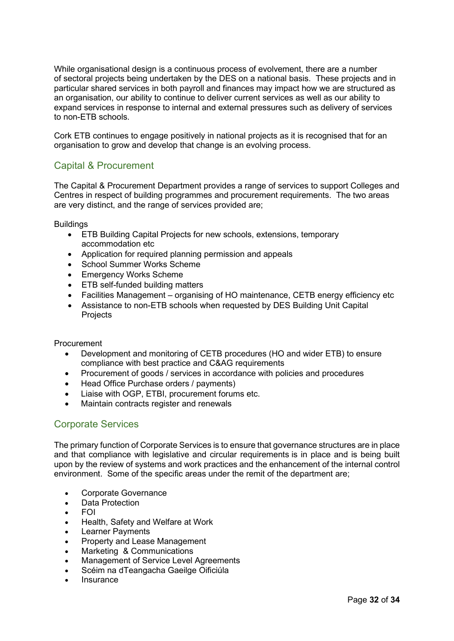While organisational design is a continuous process of evolvement, there are a number of sectoral projects being undertaken by the DES on a national basis. These projects and in particular shared services in both payroll and finances may impact how we are structured as an organisation, our ability to continue to deliver current services as well as our ability to expand services in response to internal and external pressures such as delivery of services to non-ETB schools.

Cork ETB continues to engage positively in national projects as it is recognised that for an organisation to grow and develop that change is an evolving process.

## Capital & Procurement

The Capital & Procurement Department provides a range of services to support Colleges and Centres in respect of building programmes and procurement requirements. The two areas are very distinct, and the range of services provided are;

**Buildings** 

- ETB Building Capital Projects for new schools, extensions, temporary accommodation etc
- Application for required planning permission and appeals
- School Summer Works Scheme
- Emergency Works Scheme
- ETB self-funded building matters
- Facilities Management organising of HO maintenance, CETB energy efficiency etc
- Assistance to non-ETB schools when requested by DES Building Unit Capital Projects

#### Procurement

- Development and monitoring of CETB procedures (HO and wider ETB) to ensure compliance with best practice and C&AG requirements
- Procurement of goods / services in accordance with policies and procedures
- Head Office Purchase orders / payments)
- Liaise with OGP, ETBI, procurement forums etc.
- Maintain contracts register and renewals

## Corporate Services

The primary function of Corporate Services is to ensure that governance structures are in place and that compliance with legislative and circular requirements is in place and is being built upon by the review of systems and work practices and the enhancement of the internal control environment. Some of the specific areas under the remit of the department are;

- Corporate Governance
- Data Protection
- FOI
- Health, Safety and Welfare at Work
- **Learner Payments**
- Property and Lease Management
- Marketing & Communications
- Management of Service Level Agreements
- Scéim na dTeangacha Gaeilge Oificiúla
- **Insurance**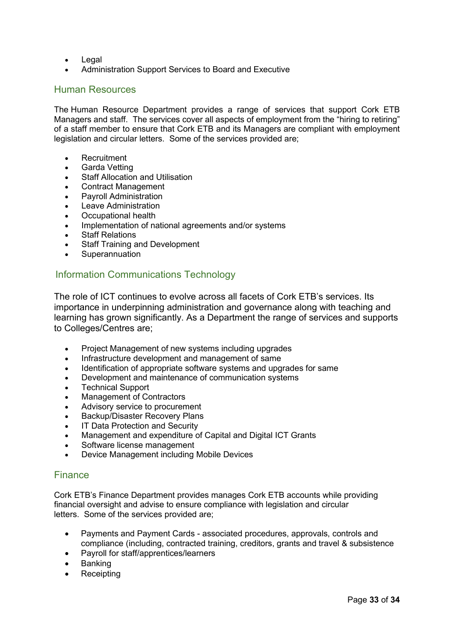- Legal
- Administration Support Services to Board and Executive

### Human Resources

The Human Resource Department provides a range of services that support Cork ETB Managers and staff. The services cover all aspects of employment from the "hiring to retiring" of a staff member to ensure that Cork ETB and its Managers are compliant with employment legislation and circular letters. Some of the services provided are;

- **Recruitment**
- Garda Vetting
- **Staff Allocation and Utilisation**
- Contract Management
- Payroll Administration
- **Leave Administration**
- Occupational health
- Implementation of national agreements and/or systems
- **Staff Relations**
- **Staff Training and Development**
- **Superannuation**

## Information Communications Technology

The role of ICT continues to evolve across all facets of Cork ETB's services. Its importance in underpinning administration and governance along with teaching and learning has grown significantly. As a Department the range of services and supports to Colleges/Centres are;

- Project Management of new systems including upgrades
- Infrastructure development and management of same
- Identification of appropriate software systems and upgrades for same
- Development and maintenance of communication systems
- **Technical Support**
- Management of Contractors
- Advisory service to procurement
- Backup/Disaster Recovery Plans
- **IT Data Protection and Security**
- Management and expenditure of Capital and Digital ICT Grants
- Software license management
- Device Management including Mobile Devices

### **Finance**

Cork ETB's Finance Department provides manages Cork ETB accounts while providing financial oversight and advise to ensure compliance with legislation and circular letters. Some of the services provided are;

- Payments and Payment Cards associated procedures, approvals, controls and compliance (including, contracted training, creditors, grants and travel & subsistence
- Payroll for staff/apprentices/learners
- **Banking**
- **Receipting**